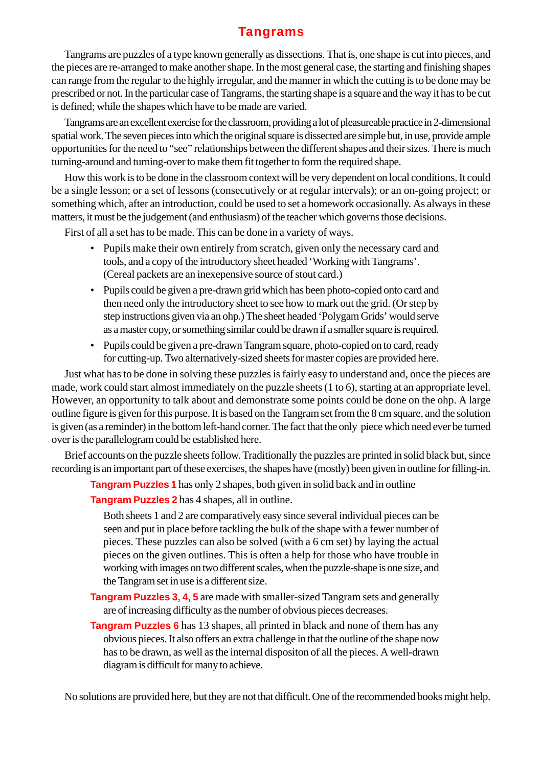### **Tangrams**

Tangrams are puzzles of a type known generally as dissections. That is, one shape is cut into pieces, and the pieces are re-arranged to make another shape. In the most general case, the starting and finishing shapes can range from the regular to the highly irregular, and the manner in which the cutting is to be done may be prescribed or not. In the particular case of Tangrams, the starting shape is a square and the way it has to be cut is defined; while the shapes which have to be made are varied.

Tangrams are an excellent exercise for the classroom, providing a lot of pleasureable practice in 2-dimensional spatial work. The seven pieces into which the original square is dissected are simple but, in use, provide ample opportunities for the need to "see" relationships between the different shapes and their sizes. There is much turning-around and turning-over to make them fit together to form the required shape.

How this work is to be done in the classroom context will be very dependent on local conditions. It could be a single lesson; or a set of lessons (consecutively or at regular intervals); or an on-going project; or something which, after an introduction, could be used to set a homework occasionally. As always in these matters, it must be the judgement (and enthusiasm) of the teacher which governs those decisions.

First of all a set has to be made. This can be done in a variety of ways.

- Pupils make their own entirely from scratch, given only the necessary card and tools, and a copy of the introductory sheet headed 'Working with Tangrams'. (Cereal packets are an inexepensive source of stout card.)
- Pupils could be given a pre-drawn grid which has been photo-copied onto card and then need only the introductory sheet to see how to mark out the grid. (Or step by step instructions given via an ohp.) The sheet headed 'Polygam Grids' would serve as a master copy, or something similar could be drawn if a smaller square is required.
- Pupils could be given a pre-drawn Tangram square, photo-copied on to card, ready for cutting-up. Two alternatively-sized sheets for master copies are provided here.

Just what has to be done in solving these puzzles is fairly easy to understand and, once the pieces are made, work could start almost immediately on the puzzle sheets (1 to 6), starting at an appropriate level. However, an opportunity to talk about and demonstrate some points could be done on the ohp. A large outline figure is given for this purpose. It is based on the Tangram set from the 8 cm square, and the solution is given (as a reminder) in the bottom left-hand corner. The fact that the only piece which need ever be turned over is the parallelogram could be established here.

Brief accounts on the puzzle sheets follow. Traditionally the puzzles are printed in solid black but, since recording is an important part of these exercises, the shapes have (mostly) been given in outline for filling-in.

**Tangram Puzzles 1** has only 2 shapes, both given in solid back and in outline

**Tangram Puzzles 2** has 4 shapes, all in outline.

Both sheets 1 and 2 are comparatively easy since several individual pieces can be seen and put in place before tackling the bulk of the shape with a fewer number of pieces. These puzzles can also be solved (with a 6 cm set) by laying the actual pieces on the given outlines. This is often a help for those who have trouble in working with images on two different scales, when the puzzle-shape is one size, and the Tangram set in use is a different size.

- **Tangram Puzzles 3, 4, 5** are made with smaller-sized Tangram sets and generally are of increasing difficulty as the number of obvious pieces decreases.
- **Tangram Puzzles 6** has 13 shapes, all printed in black and none of them has any obvious pieces. It also offers an extra challenge in that the outline of the shape now has to be drawn, as well as the internal dispositon of all the pieces. A well-drawn diagram is difficult for many to achieve.

No solutions are provided here, but they are not that difficult. One of the recommended books might help.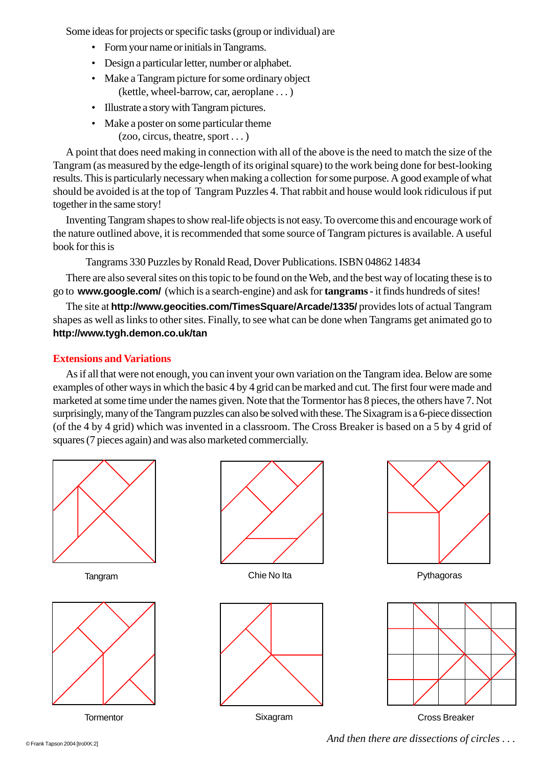Some ideas for projects or specific tasks (group or individual) are

- Form your name or initials in Tangrams.
- Design a particular letter, number or alphabet.
- Make a Tangram picture for some ordinary object (kettle, wheel-barrow, car, aeroplane . . . )
- Illustrate a story with Tangram pictures.
- Make a poster on some particular theme
	- (zoo, circus, theatre, sport . . . )

A point that does need making in connection with all of the above is the need to match the size of the Tangram (as measured by the edge-length of its original square) to the work being done for best-looking results. This is particularly necessary when making a collection for some purpose. A good example of what should be avoided is at the top of Tangram Puzzles 4. That rabbit and house would look ridiculous if put together in the same story!

Inventing Tangram shapes to show real-life objects is not easy. To overcome this and encourage work of the nature outlined above, it is recommended that some source of Tangram pictures is available. A useful book for this is

Tangrams 330 Puzzles by Ronald Read, Dover Publications. ISBN 04862 14834

There are also several sites on this topic to be found on the Web, and the best way of locating these is to go to **www.google.com/** (which is a search-engine) and ask for **tangrams** - it finds hundreds of sites!

The site at **http://www.geocities.com/TimesSquare/Arcade/1335/** provides lots of actual Tangram shapes as well as links to other sites. Finally, to see what can be done when Tangrams get animated go to **http://www.tygh.demon.co.uk/tan**

#### **Extensions and Variations**

As if all that were not enough, you can invent your own variation on the Tangram idea. Below are some examples of other ways in which the basic 4 by 4 grid can be marked and cut. The first four were made and marketed at some time under the names given. Note that the Tormentor has 8 pieces, the others have 7. Not surprisingly, many of the Tangram puzzles can also be solved with these. The Sixagram is a 6-piece dissection (of the 4 by 4 grid) which was invented in a classroom. The Cross Breaker is based on a 5 by 4 grid of squares (7 pieces again) and was also marketed commercially.

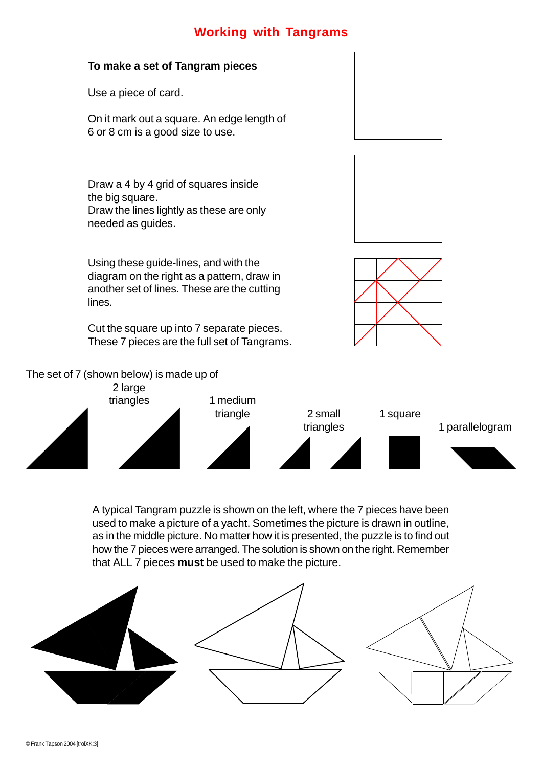### **Working with Tangrams**

#### **To make a set of Tangram pieces**

Use a piece of card.

On it mark out a square. An edge length of 6 or 8 cm is a good size to use.

Draw a 4 by 4 grid of squares inside the big square. Draw the lines lightly as these are only needed as guides.

Using these guide-lines, and with the diagram on the right as a pattern, draw in another set of lines. These are the cutting lines.

Cut the square up into 7 separate pieces. These 7 pieces are the full set of Tangrams.



The set of 7 (shown below) is made up of



A typical Tangram puzzle is shown on the left, where the 7 pieces have been used to make a picture of a yacht. Sometimes the picture is drawn in outline, as in the middle picture. No matter how it is presented, the puzzle is to find out how the 7 pieces were arranged. The solution is shown on the right. Remember that ALL 7 pieces **must** be used to make the picture.

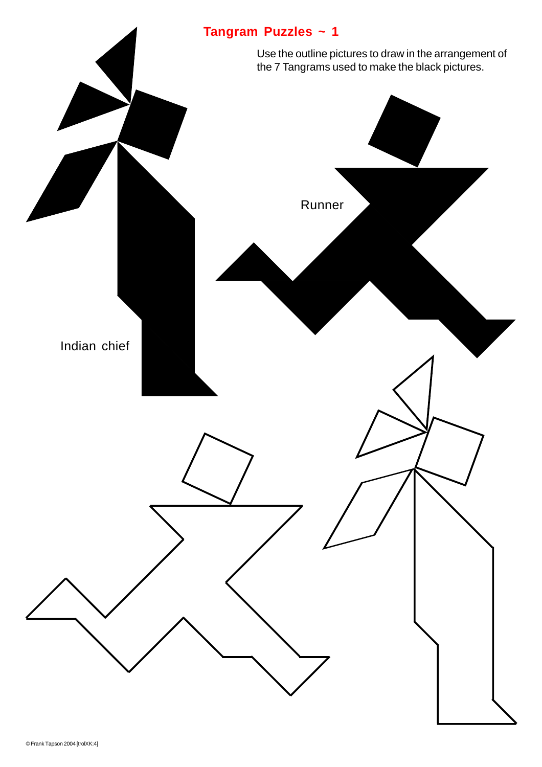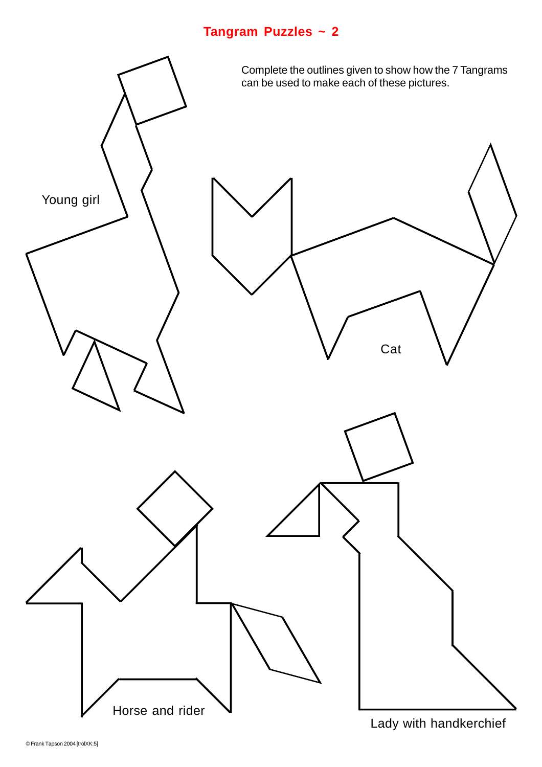

Lady with handkerchief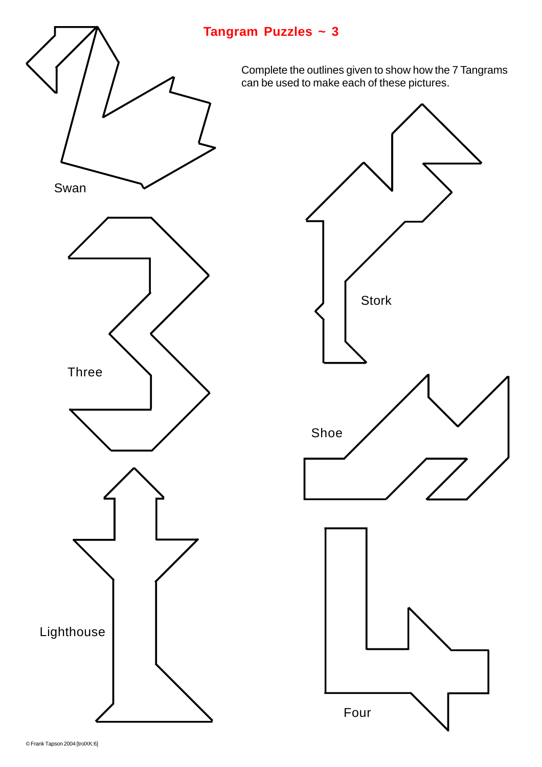

Complete the outlines given to show how the 7 Tangrams can be used to make each of these pictures.

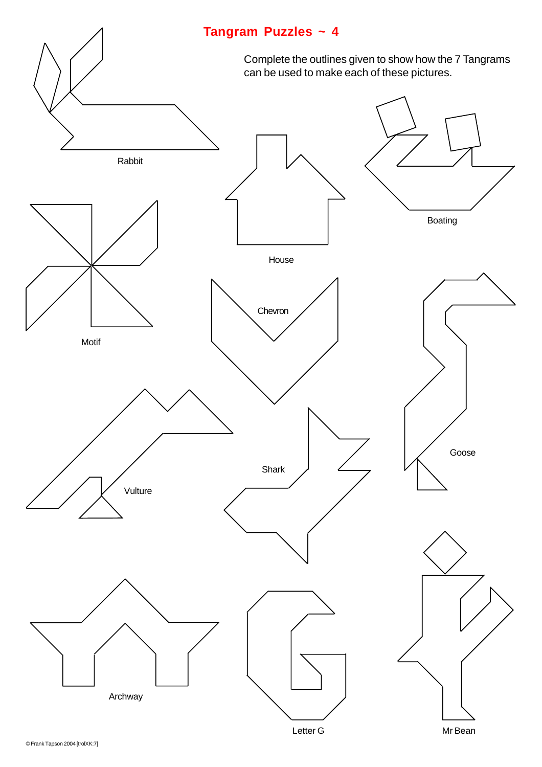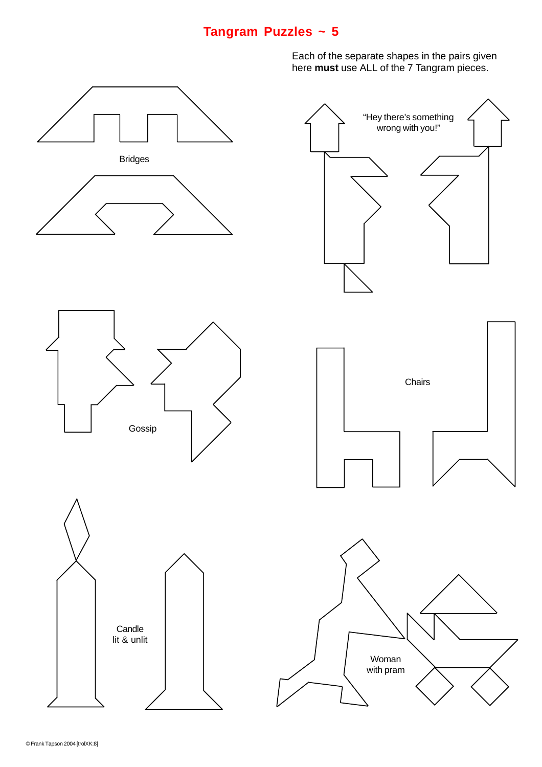Each of the separate shapes in the pairs given here **must** use ALL of the 7 Tangram pieces.

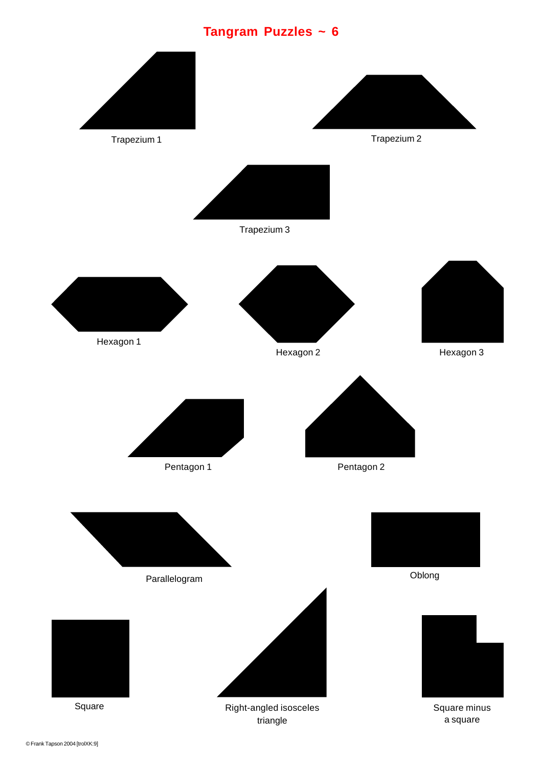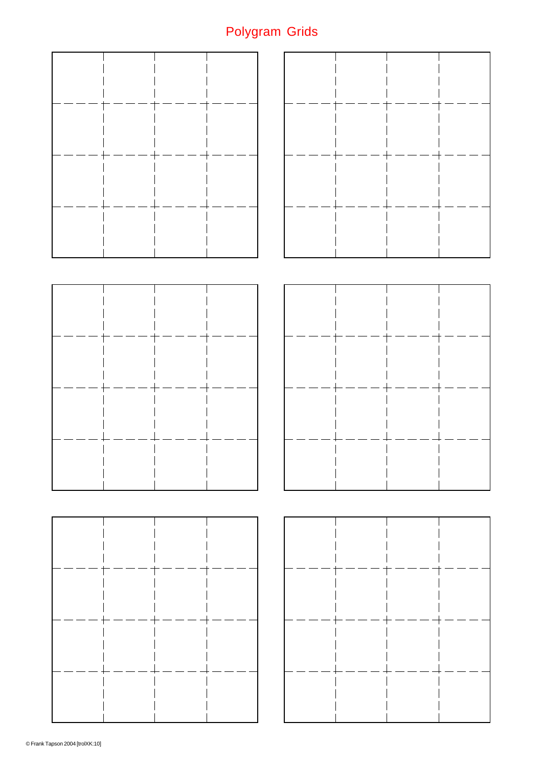# Polygram Grids

|  | . — .       | $=$ $=$ $=$ |  |  |  |                   |    |  |  |
|--|-------------|-------------|--|--|--|-------------------|----|--|--|
|  |             | ---+----    |  |  |  | $  -$             |    |  |  |
|  |             |             |  |  |  |                   |    |  |  |
|  |             |             |  |  |  |                   |    |  |  |
|  |             |             |  |  |  |                   |    |  |  |
|  | $+----+-$   | $  -$       |  |  |  | ---               | т. |  |  |
|  | $---$       | $---$ -     |  |  |  | $\cdot$ $  \cdot$ |    |  |  |
|  |             |             |  |  |  |                   |    |  |  |
|  |             |             |  |  |  |                   |    |  |  |
|  |             |             |  |  |  |                   |    |  |  |
|  | $=$ $-$     |             |  |  |  |                   |    |  |  |
|  |             | - - -       |  |  |  | $-$               |    |  |  |
|  | $\cdot$ $-$ |             |  |  |  |                   |    |  |  |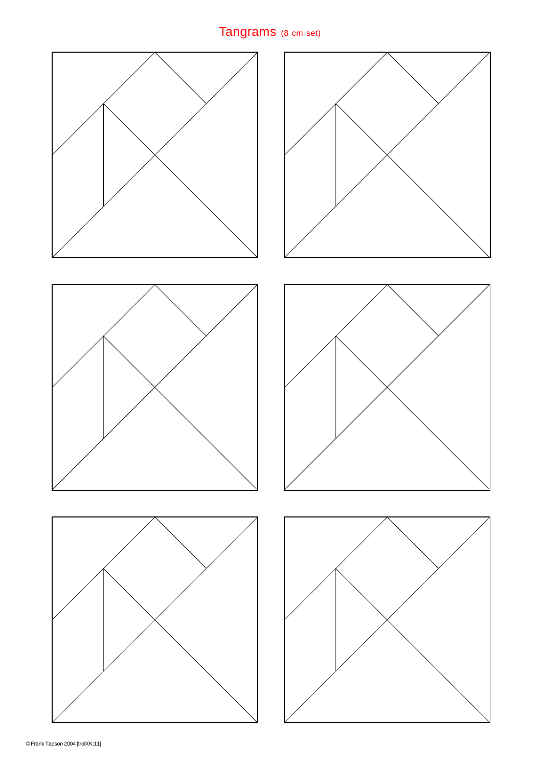# Tangrams (8 cm set)











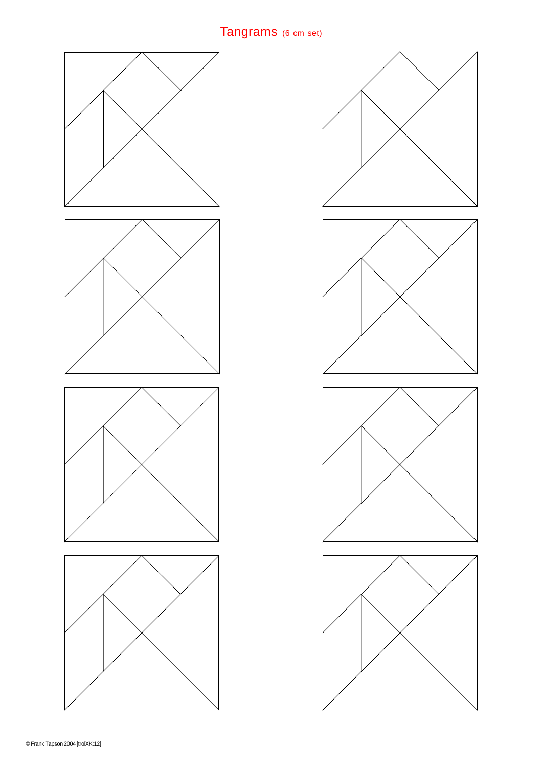# Tangrams (6 cm set)



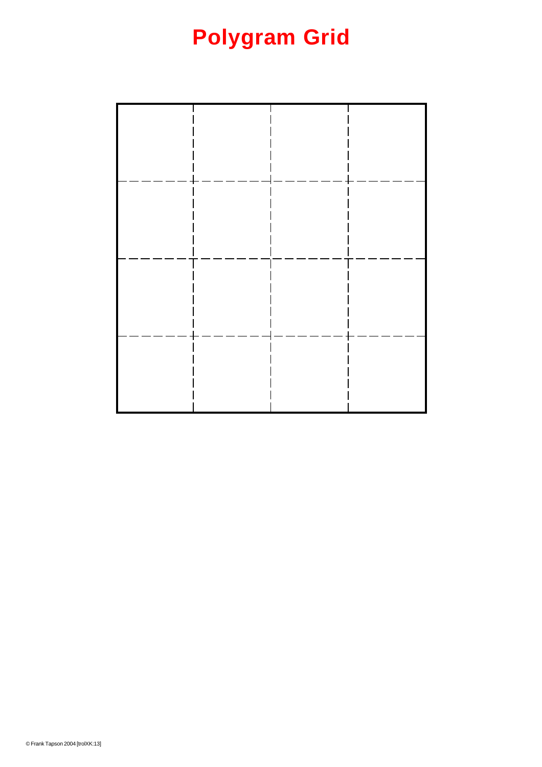# **Polygram Grid**

|                                | $\overline{\phantom{0}}$ | . .<br>$-$<br>$\overline{\phantom{0}}$                 |  |
|--------------------------------|--------------------------|--------------------------------------------------------|--|
|                                | – –                      |                                                        |  |
|                                |                          |                                                        |  |
|                                |                          |                                                        |  |
|                                |                          |                                                        |  |
| $\overline{\phantom{0}}$<br>Ĭ. | L,                       | $\mathsf{I}-$<br>$\overline{\phantom{0}}$<br>- -<br>ц, |  |
|                                |                          |                                                        |  |